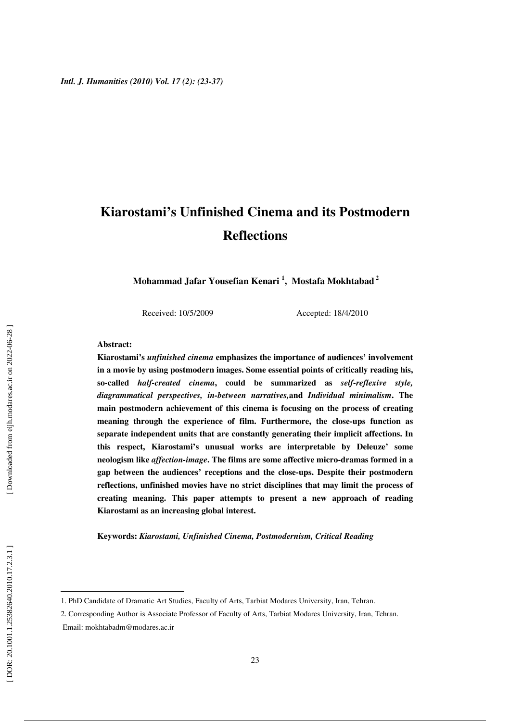# **Kiarostami's Unfinished Cinema and its Postmodern Reflections**

**Mohammad Jafar Yousefian Kenari 1 , Mostafa Mokhtabad 2**

Received: 10/5/2009 Accepted: 18/4/2010

#### **Abstract:**

**Kiarostami's** *unfinished cinema* **emphasizes the importance of audiences' involvement in a movie by using postmodern images. Some essential points of critically reading his, so-called** *half-created cinema***, could be summarized as** *self-reflexive style, diagrammatical perspectives, in-between narratives,***and** *Individual minimalism***. The main postmodern achievement of this cinema is focusing on the process of creating meaning through the experience of film. Furthermore, the close-ups function as separate independent units that are constantly generating their implicit affections. In this respect, Kiarostami's unusual works are interpretable by Deleuze' some neologism like** *affection-image***. The films are some affective micro-dramas formed in a gap between the audiences' receptions and the close-ups. Despite their postmodern reflections, unfinished movies have no strict disciplines that may limit the process of creating meaning. This paper attempts to present a new approach of reading Kiarostami as an increasing global interest.** 

**Keywords:** *Kiarostami, Unfinished Cinema, Postmodernism, Critical Reading*

<sup>1.</sup> PhD Candidate of Dramatic Art Studies, Faculty of Arts, Tarbiat Modares University, Iran, Tehran.

<sup>2.</sup> Corresponding Author is Associate Professor of Faculty of Arts, Tarbiat Modares University, Iran, Tehran. Email: mokhtabadm@modares.ac.ir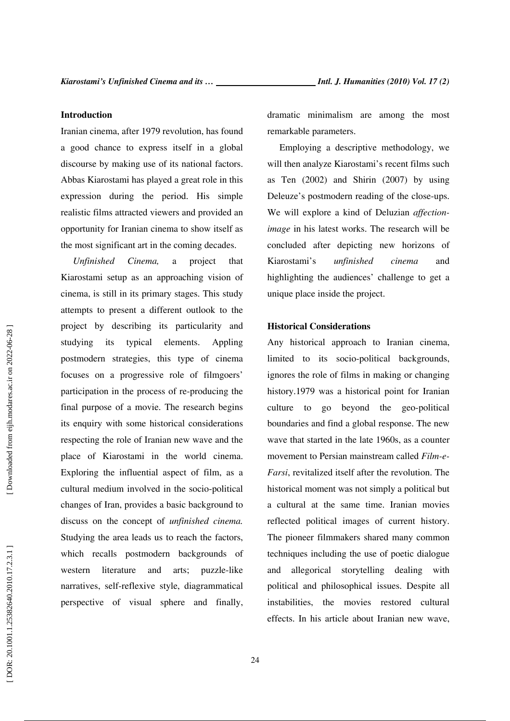## **Introduction**

Iranian cinema, after 1979 revolution, has found a good chance to express itself in a global discourse by making use of its national factors. Abbas Kiarostami has played a great role in this expression during the period. His simple realistic films attracted viewers and provided an opportunity for Iranian cinema to show itself as the most significant art in the coming decades.

*Unfinished Cinema,* a project that Kiarostami setup as an approaching vision of cinema, is still in its primary stages. This study attempts to present a different outlook to the project by describing its particularity and studying its typical elements. Appling postmodern strategies, this type of cinema focuses on a progressive role of filmgoers' participation in the process of re-producing the final purpose of a movie. The research begins its enquiry with some historical considerations respecting the role of Iranian new wave and the place of Kiarostami in the world cinema. Exploring the influential aspect of film, as a cultural medium involved in the socio-political changes of Iran, provides a basic background to discuss on the concept of *unfinished cinema.*  Studying the area leads us to reach the factors, which recalls postmodern backgrounds of western literature and arts; puzzle-like narratives, self-reflexive style, diagrammatical perspective of visual sphere and finally, dramatic minimalism are among the most remarkable parameters.

Employing a descriptive methodology, we will then analyze Kiarostami's recent films such as Ten (2002) and Shirin (2007) by using Deleuze's postmodern reading of the close-ups. We will explore a kind of Deluzian *affectionimage* in his latest works. The research will be concluded after depicting new horizons of Kiarostami's *unfinished cinema* and highlighting the audiences' challenge to get a unique place inside the project.

# **Historical Considerations**

Any historical approach to Iranian cinema, limited to its socio-political backgrounds, ignores the role of films in making or changing history.1979 was a historical point for Iranian culture to go beyond the geo-political boundaries and find a global response. The new wave that started in the late 1960s, as a counter movement to Persian mainstream called *Film-e-Farsi*, revitalized itself after the revolution. The historical moment was not simply a political but a cultural at the same time. Iranian movies reflected political images of current history. The pioneer filmmakers shared many common techniques including the use of poetic dialogue and allegorical storytelling dealing with political and philosophical issues. Despite all instabilities, the movies restored cultural effects. In his article about Iranian new wave,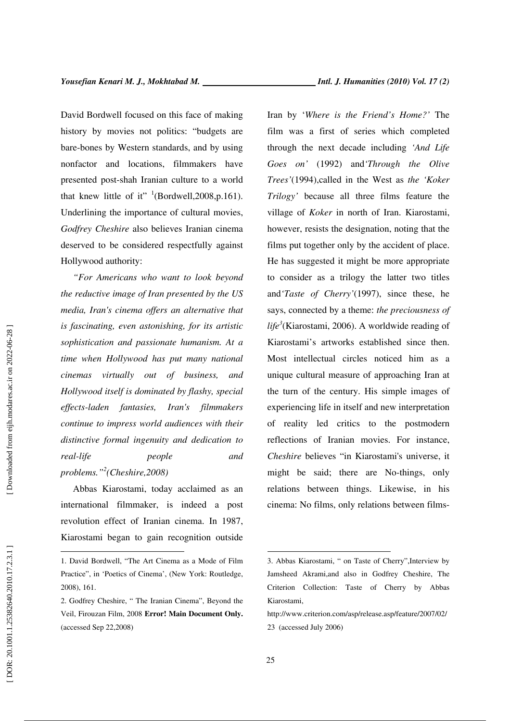David Bordwell focused on this face of making history by movies not politics: "budgets are bare-bones by Western standards, and by using nonfactor and locations, filmmakers have presented post-shah Iranian culture to a world that knew little of it"  $($ Bordwell, 2008, p. 161). Underlining the importance of cultural movies, *Godfrey Cheshire* also believes Iranian cinema deserved to be considered respectfully against Hollywood authority:

*"For Americans who want to look beyond the reductive image of Iran presented by the US media, Iran's cinema offers an alternative that is fascinating, even astonishing, for its artistic sophistication and passionate humanism. At a time when Hollywood has put many national cinemas virtually out of business, and Hollywood itself is dominated by flashy, special effects-laden fantasies, Iran's filmmakers continue to impress world audiences with their distinctive formal ingenuity and dedication to real-life people and problems." 2 (Cheshire,2008)* 

Abbas Kiarostami, today acclaimed as an international filmmaker, is indeed a post revolution effect of Iranian cinema. In 1987, Kiarostami began to gain recognition outside Iran by '*Where is the Friend's Home?'* The film was a first of series which completed through the next decade including *'And Life Goes on'* (1992) and*'Through the Olive Trees'*(1994),called in the West as *the 'Koker Trilogy'* because all three films feature the village of *Koker* in north of Iran. Kiarostami, however, resists the designation, noting that the films put together only by the accident of place. He has suggested it might be more appropriate to consider as a trilogy the latter two titles and*'Taste of Cherry'*(1997), since these, he says, connected by a theme: *the preciousness of life 3* (Kiarostami, 2006). A worldwide reading of Kiarostami's artworks established since then. Most intellectual circles noticed him as a unique cultural measure of approaching Iran at the turn of the century. His simple images of experiencing life in itself and new interpretation of reality led critics to the postmodern reflections of Iranian movies. For instance, *Cheshire* believes "in Kiarostami's universe, it might be said; there are No-things, only relations between things. Likewise, in his cinema: No films, only relations between films-

 $\overline{a}$ 

<sup>1.</sup> David Bordwell, "The Art Cinema as a Mode of Film Practice", in 'Poetics of Cinema', (New York: Routledge, 2008), 161.

<sup>2.</sup> Godfrey Cheshire, " The Iranian Cinema", Beyond the Veil, Firouzan Film, 2008 **Error! Main Document Only.** (accessed Sep 22,2008)

<sup>3.</sup> Abbas Kiarostami, " on Taste of Cherry",Interview by Jamsheed Akrami,and also in Godfrey Cheshire, The Criterion Collection: Taste of Cherry by Abbas Kiarostami,

http://www.criterion.com/asp/release.asp/feature/2007/02/ 23 (accessed July 2006)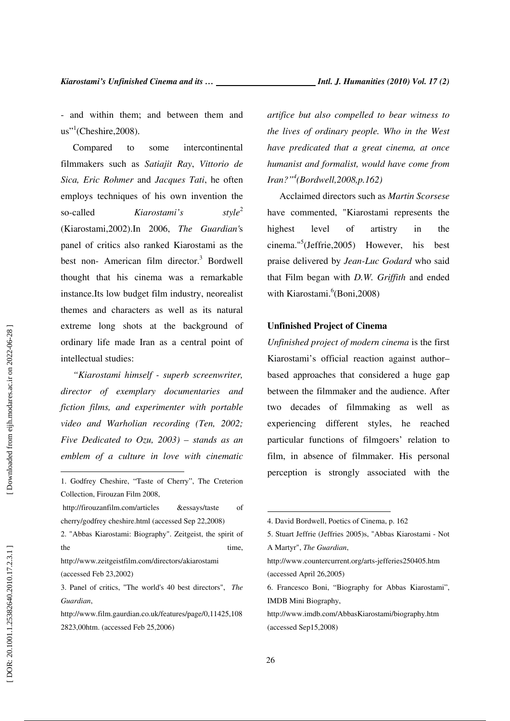- and within them; and between them and  $us$ <sup>''</sup>(Cheshire, 2008).

Compared to some intercontinental filmmakers such as *Satiajit Ray*, *Vittorio de Sica, Eric Rohmer* and *Jacques Tati*, he often employs techniques of his own invention the so-called *Kiarostami's*  $style<sup>2</sup>$ (Kiarostami,2002).In 2006, *The Guardian'*s panel of critics also ranked Kiarostami as the best non- American film director. 3 Bordwell thought that his cinema was a remarkable instance.Its low budget film industry, neorealist themes and characters as well as its natural extreme long shots at the background of ordinary life made Iran as a central point of intellectual studies:

*"Kiarostami himself - superb screenwriter, director of exemplary documentaries and fiction films, and experimenter with portable video and Warholian recording (Ten, 2002; Five Dedicated to Ozu, 2003) – stands as an emblem of a culture in love with cinematic* 

2. "Abbas Kiarostami: Biography". Zeitgeist, the spirit of the time,

http://www.zeitgeistfilm.com/directors/akiarostami (accessed Feb 23,2002)

- 3. Panel of critics, "The world's 40 best directors", *The Guardian*,
- http://www.film.gaurdian.co.uk/features/page/0,11425,108 2823,00htm. (accessed Feb 25,2006)

*artifice but also compelled to bear witness to the lives of ordinary people. Who in the West have predicated that a great cinema, at once humanist and formalist, would have come from Iran?" 4 (Bordwell,2008,p.162)* 

Acclaimed directors such as *Martin Scorsese* have commented, "Kiarostami represents the highest level of artistry in the cinema." 5 (Jeffrie,2005) However, his best praise delivered by *Jean-Luc Godard* who said that Film began with *D.W. Griffith* and ended with Kiarostami.<sup>6</sup>(Boni,2008)

## **Unfinished Project of Cinema**

*Unfinished project of modern cinema* is the first Kiarostami's official reaction against author– based approaches that considered a huge gap between the filmmaker and the audience. After two decades of filmmaking as well as experiencing different styles, he reached particular functions of filmgoers' relation to film, in absence of filmmaker. His personal perception is strongly associated with the

 $\overline{a}$ 

<sup>1.</sup> Godfrey Cheshire, "Taste of Cherry", The Creterion Collection, Firouzan Film 2008,

http://firouzanfilm.com/articles &essays/taste of cherry/godfrey cheshire.html (accessed Sep 22,2008)

<sup>4.</sup> David Bordwell, Poetics of Cinema, p. 162

<sup>5.</sup> Stuart Jeffrie (Jeffries 2005)s, "Abbas Kiarostami - Not A Martyr", *The Guardian*,

http://www.countercurrent.org/arts-jefferies250405.htm (accessed April 26,2005)

<sup>6.</sup> Francesco Boni, "Biography for Abbas Kiarostami", IMDB Mini Biography,

http://www.imdb.com/AbbasKiarostami/biography.htm (accessed Sep15,2008)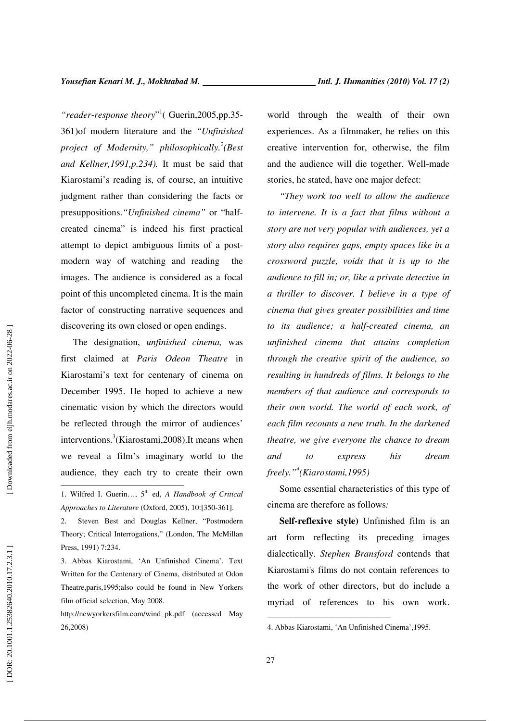$\overline{a}$ 

"reader-response theory"<sup>1</sup> (Guerin, 2005, pp. 35-361)of modern literature and the *"Unfinished project of Modernity," philosophically. 2 (Best and Kellner,1991,p.234).* It must be said that Kiarostami's reading is, of course, an intuitive judgment rather than considering the facts or presuppositions.*"Unfinished cinema"* or "halfcreated cinema" is indeed his first practical attempt to depict ambiguous limits of a postmodern way of watching and reading the images. The audience is considered as a focal point of this uncompleted cinema. It is the main factor of constructing narrative sequences and discovering its own closed or open endings.

The designation, *unfinished cinema,* was first claimed at *Paris Odeon Theatre* in Kiarostami's text for centenary of cinema on December 1995. He hoped to achieve a new cinematic vision by which the directors would be reflected through the mirror of audiences' interventions. 3 (Kiarostami,2008).It means when we reveal a film's imaginary world to the audience, they each try to create their own

3. Abbas Kiarostami, 'An Unfinished Cinema', Text Written for the Centenary of Cinema, distributed at Odon Theatre,paris,1995;also could be found in New Yorkers film official selection, May 2008.

http://newyorkersfilm.com/wind\_pk.pdf (accessed May 26,2008)

world through the wealth of their own experiences. As a filmmaker, he relies on this creative intervention for, otherwise, the film and the audience will die together. Well-made stories, he stated, have one major defect:

*"They work too well to allow the audience to intervene. It is a fact that films without a story are not very popular with audiences, yet a story also requires gaps, empty spaces like in a crossword puzzle, voids that it is up to the audience to fill in; or, like a private detective in a thriller to discover. I believe in a type of cinema that gives greater possibilities and time to its audience; a half-created cinema, an unfinished cinema that attains completion through the creative spirit of the audience, so resulting in hundreds of films. It belongs to the members of that audience and corresponds to their own world. The world of each work, of each film recounts a new truth. In the darkened theatre, we give everyone the chance to dream and to express his dream freely." 4 (Kiarostami,1995)* 

Some essential characteristics of this type of cinema are therefore as follows*:* 

**Self-reflexive style)** Unfinished film is an art form reflecting its preceding images dialectically. *Stephen Bransford* contends that Kiarostami's films do not contain references to the work of other directors, but do include a myriad of references to his own work.

<sup>1.</sup> Wilfred I. Guerin…, 5th ed, *A Handbook of Critical Approaches to Literature* (Oxford, 2005), 10:[350-361].

<sup>2.</sup> Steven Best and Douglas Kellner, "Postmodern Theory; Critical Interrogations," (London, The McMillan Press, 1991) 7:234.

<sup>4.</sup> Abbas Kiarostami, 'An Unfinished Cinema',1995.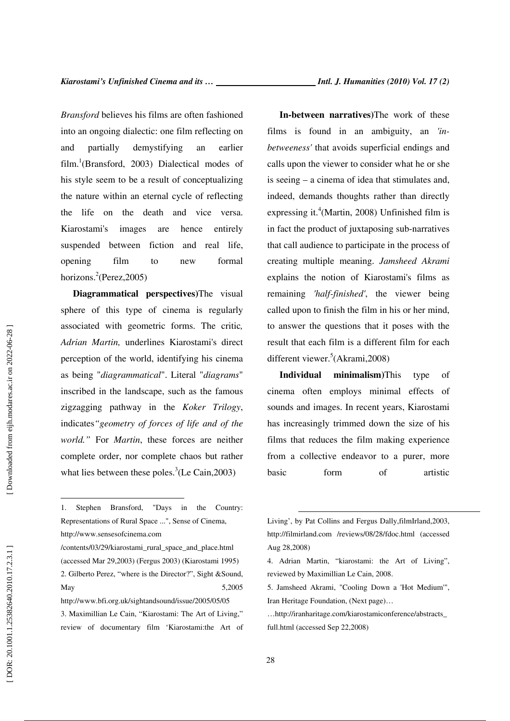*Bransford* believes his films are often fashioned into an ongoing dialectic: one film reflecting on and partially demystifying an earlier film. 1 (Bransford, 2003) Dialectical modes of his style seem to be a result of conceptualizing the nature within an eternal cycle of reflecting the life on the death and vice versa. Kiarostami's images are hence entirely suspended between fiction and real life, opening film to new formal horizons.<sup>2</sup>(Perez,2005)

**Diagrammatical perspectives)**The visual sphere of this type of cinema is regularly associated with geometric forms. The critic*, Adrian Martin,* underlines Kiarostami's direct perception of the world, identifying his cinema as being "*diagrammatical*". Literal "*diagrams*" inscribed in the landscape, such as the famous zigzagging pathway in the *Koker Trilogy*, indicates*"geometry of forces of life and of the world."* For *Martin*, these forces are neither complete order, nor complete chaos but rather what lies between these poles.<sup>3</sup>(Le Cain, 2003)

/contents/03/29/kiarostami\_rural\_space\_and\_place.html (accessed Mar 29,2003) (Fergus 2003) (Kiarostami 1995) 2. Gilberto Perez, "where is the Director?", Sight &Sound, May 5,2005 http://www.bfi.org.uk/sightandsound/issue/2005/05/05

3. Maximillian Le Cain, "Kiarostami: The Art of Living," review of documentary film 'Kiarostami:the Art of

**In-between narratives)**The work of these films is found in an ambiguity, an *'inbetweeness'* that avoids superficial endings and calls upon the viewer to consider what he or she is seeing – a cinema of idea that stimulates and, indeed, demands thoughts rather than directly expressing it. 4 (Martin, 2008) Unfinished film is in fact the product of juxtaposing sub-narratives that call audience to participate in the process of creating multiple meaning. *Jamsheed Akrami* explains the notion of Kiarostami's films as remaining *'half-finished'*, the viewer being called upon to finish the film in his or her mind, to answer the questions that it poses with the result that each film is a different film for each different viewer. 5 (Akrami,2008)

**Individual minimalism)**This type of cinema often employs minimal effects of sounds and images. In recent years, Kiarostami has increasingly trimmed down the size of his films that reduces the film making experience from a collective endeavor to a purer, more basic form of artistic

<sup>1.</sup> Stephen Bransford, "Days in the Country: Representations of Rural Space ...", Sense of Cinema, http://www.sensesofcinema.com

Living', by Pat Collins and Fergus Dally,filmIrland,2003, http://filmirland.com /reviews/08/28/fdoc.html (accessed Aug 28,2008)

<sup>4.</sup> Adrian Martin, "kiarostami: the Art of Living", reviewed by Maximillian Le Cain, 2008.

<sup>5.</sup> Jamsheed Akrami, "Cooling Down a 'Hot Medium'", Iran Heritage Foundation, (Next page)…

<sup>…</sup>http://iranharitage.com/kiarostamiconference/abstracts\_ full.html (accessed Sep 22,2008)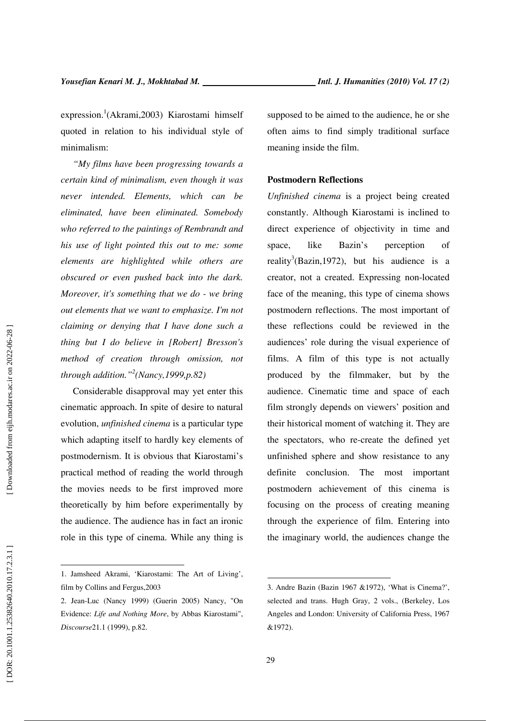expression. 1 (Akrami,2003) Kiarostami himself quoted in relation to his individual style of minimalism:

*"My films have been progressing towards a certain kind of minimalism, even though it was never intended. Elements, which can be eliminated, have been eliminated. Somebody who referred to the paintings of Rembrandt and his use of light pointed this out to me: some elements are highlighted while others are obscured or even pushed back into the dark. Moreover, it's something that we do - we bring out elements that we want to emphasize. I'm not claiming or denying that I have done such a thing but I do believe in [Robert] Bresson's method of creation through omission, not through addition." 2 (Nancy,1999,p.82)* 

Considerable disapproval may yet enter this cinematic approach. In spite of desire to natural evolution, *unfinished cinema* is a particular type which adapting itself to hardly key elements of postmodernism. It is obvious that Kiarostami's practical method of reading the world through the movies needs to be first improved more theoretically by him before experimentally by the audience. The audience has in fact an ironic role in this type of cinema. While any thing is supposed to be aimed to the audience, he or she often aims to find simply traditional surface meaning inside the film.

#### **Postmodern Reflections**

*Unfinished cinema* is a project being created constantly. Although Kiarostami is inclined to direct experience of objectivity in time and space, like Bazin's perception of reality<sup>3</sup>(Bazin, 1972), but his audience is a creator, not a created. Expressing non-located face of the meaning, this type of cinema shows postmodern reflections. The most important of these reflections could be reviewed in the audiences' role during the visual experience of films. A film of this type is not actually produced by the filmmaker, but by the audience. Cinematic time and space of each film strongly depends on viewers' position and their historical moment of watching it. They are the spectators, who re-create the defined yet unfinished sphere and show resistance to any definite conclusion. The most important postmodern achievement of this cinema is focusing on the process of creating meaning through the experience of film. Entering into the imaginary world, the audiences change the

 $\overline{a}$ 

<sup>1.</sup> Jamsheed Akrami, 'Kiarostami: The Art of Living', film by Collins and Fergus,2003

<sup>2.</sup> Jean-Luc (Nancy 1999) (Guerin 2005) Nancy, "On Evidence: *Life and Nothing More*, by Abbas Kiarostami", *Discourse*21.1 (1999), p.82.

<sup>3.</sup> Andre Bazin (Bazin 1967 &1972), 'What is Cinema?', selected and trans. Hugh Gray, 2 vols., (Berkeley, Los Angeles and London: University of California Press, 1967 &1972).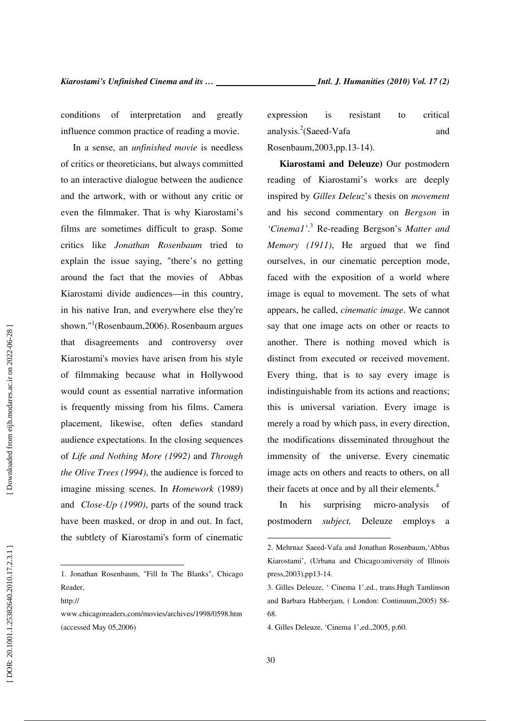conditions of interpretation and greatly influence common practice of reading a movie.

In a sense, an *unfinished movie* is needless of critics or theoreticians, but always committed to an interactive dialogue between the audience and the artwork, with or without any critic or even the filmmaker. That is why Kiarostami's films are sometimes difficult to grasp. Some critics like *Jonathan Rosenbaum* tried to explain the issue saying, "there's no getting around the fact that the movies of Abbas Kiarostami divide audiences—in this country, in his native Iran, and everywhere else they're shown." 1 (Rosenbaum,2006). Rosenbaum argues that disagreements and controversy over Kiarostami's movies have arisen from his style of filmmaking because what in Hollywood would count as essential narrative information is frequently missing from his films. Camera placement, likewise, often defies standard audience expectations. In the closing sequences of *Life and Nothing More (1992)* and *Through the Olive Trees (1994)*, the audience is forced to imagine missing scenes. In *Homework* (1989) and *Close-Up (1990)*, parts of the sound track have been masked, or drop in and out. In fact, the subtlety of Kiarostami's form of cinematic

http://

 $\overline{a}$ 

expression is resistant to critical analysis.<sup>2</sup>(Saeed-Vafa and and Rosenbaum,2003,pp.13-14).

**Kiarostami and Deleuze)** Our postmodern reading of Kiarostami's works are deeply inspired by *Gilles Deleuz*'s thesis on *movement* and his second commentary on *Bergson* in 'Cinemal'.<sup>3</sup> Re-reading Bergson's Matter and *Memory (1911)*, He argued that we find ourselves, in our cinematic perception mode, faced with the exposition of a world where image is equal to movement. The sets of what appears, he called, *cinematic image*. We cannot say that one image acts on other or reacts to another. There is nothing moved which is distinct from executed or received movement. Every thing, that is to say every image is indistinguishable from its actions and reactions; this is universal variation. Every image is merely a road by which pass, in every direction, the modifications disseminated throughout the immensity of the universe. Every cinematic image acts on others and reacts to others, on all their facets at once and by all their elements. 4

In his surprising micro-analysis of postmodern *subject,* Deleuze employs a

<sup>1.</sup> Jonathan Rosenbaum, "Fill In The Blanks", Chicago Reader,

www.chicagoreaders,com/movies/archives/1998/0598.htm (accessed May 05,2006)

<sup>2.</sup> Mehrnaz Saeed-Vafa and Jonathan Rosenbaum,'Abbas Kiarostami', (Urbana and Chicago:university of Illinois press,2003),pp13-14.

<sup>3.</sup> Gilles Deleuze, ' Cinema 1',ed., trans.Hugh Tamlinson and Barbara Habberjam, ( London: Continuum,2005) 58- 68.

<sup>4.</sup> Gilles Deleuze, 'Cinema 1',ed.,2005, p.60.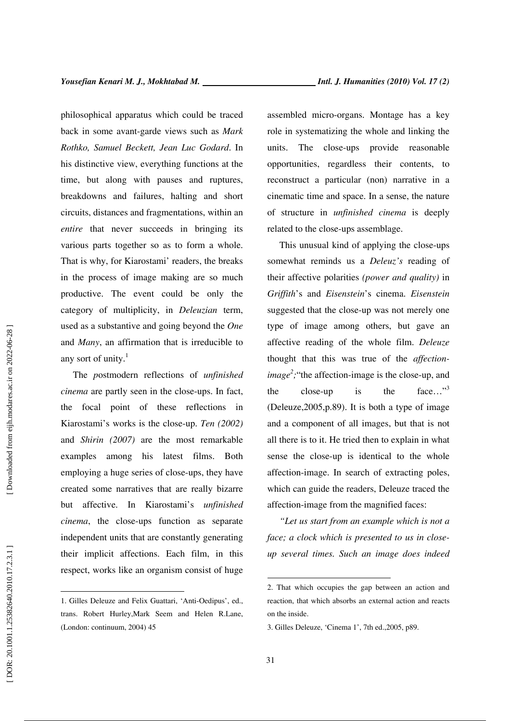philosophical apparatus which could be traced back in some avant-garde views such as *Mark Rothko, Samuel Beckett, Jean Luc Godard*. In his distinctive view, everything functions at the time, but along with pauses and ruptures, breakdowns and failures, halting and short circuits, distances and fragmentations, within an *entire* that never succeeds in bringing its various parts together so as to form a whole. That is why, for Kiarostami' readers, the breaks in the process of image making are so much productive. The event could be only the category of multiplicity, in *Deleuzian* term, used as a substantive and going beyond the *One*  and *Many*, an affirmation that is irreducible to any sort of unity.<sup>1</sup>

The *p*ostmodern reflections of *unfinished cinema* are partly seen in the close-ups. In fact, the focal point of these reflections in Kiarostami's works is the close-up. *Ten (2002)* and *Shirin (2007)* are the most remarkable examples among his latest films. Both employing a huge series of close-ups, they have created some narratives that are really bizarre but affective. In Kiarostami's *unfinished cinema*, the close-ups function as separate independent units that are constantly generating their implicit affections. Each film, in this respect, works like an organism consist of huge

assembled micro-organs. Montage has a key role in systematizing the whole and linking the units. The close-ups provide reasonable opportunities, regardless their contents, to reconstruct a particular (non) narrative in a cinematic time and space. In a sense, the nature of structure in *unfinished cinema* is deeply related to the close-ups assemblage.

This unusual kind of applying the close-ups somewhat reminds us a *Deleuz's* reading of their affective polarities *(power and quality)* in *Griffith*'s and *Eisenstein*'s cinema. *Eisenstein*  suggested that the close-up was not merely one type of image among others, but gave an affective reading of the whole film. *Deleuze*  thought that this was true of the *affectionimage*<sup>2</sup>; "the affection-image is the close-up, and the close-up is the face..."<sup>3</sup> (Deleuze,2005,p.89). It is both a type of image and a component of all images, but that is not all there is to it. He tried then to explain in what sense the close-up is identical to the whole affection-image. In search of extracting poles, which can guide the readers, Deleuze traced the affection-image from the magnified faces:

*"Let us start from an example which is not a face; a clock which is presented to us in closeup several times. Such an image does indeed* 

 $\overline{a}$ 

<sup>1.</sup> Gilles Deleuze and Felix Guattari, 'Anti-Oedipus', ed., trans. Robert Hurley,Mark Seem and Helen R.Lane, (London: continuum, 2004) 45

<sup>2.</sup> That which occupies the gap between an action and reaction, that which absorbs an external action and reacts on the inside.

<sup>3.</sup> Gilles Deleuze, 'Cinema 1', 7th ed.,2005, p89.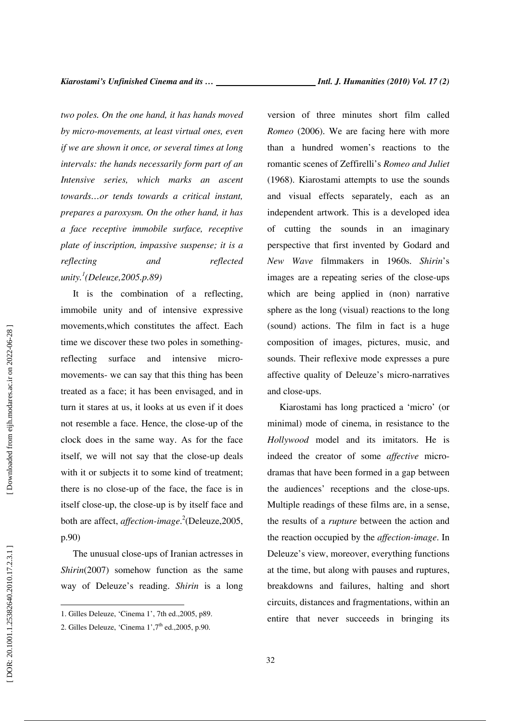*two poles. On the one hand, it has hands moved by micro-movements, at least virtual ones, even if we are shown it once, or several times at long intervals: the hands necessarily form part of an Intensive series, which marks an ascent towards…or tends towards a critical instant, prepares a paroxysm. On the other hand, it has a face receptive immobile surface, receptive plate of inscription, impassive suspense; it is a reflecting and reflected unity. 1 (Deleuze,2005.p.89)* 

It is the combination of a reflecting, immobile unity and of intensive expressive movements,which constitutes the affect. Each time we discover these two poles in somethingreflecting surface and intensive micromovements- we can say that this thing has been treated as a face; it has been envisaged, and in turn it stares at us, it looks at us even if it does not resemble a face. Hence, the close-up of the clock does in the same way. As for the face itself, we will not say that the close-up deals with it or subjects it to some kind of treatment; there is no close-up of the face, the face is in itself close-up, the close-up is by itself face and both are affect, *affection-image* . 2 (Deleuze,2005, p.90)

The unusual close-ups of Iranian actresses in *Shirin*(2007) somehow function as the same way of Deleuze's reading. *Shirin* is a long version of three minutes short film called *Romeo* (2006). We are facing here with more than a hundred women's reactions to the romantic scenes of Zeffirelli's *Romeo and Juliet* (1968). Kiarostami attempts to use the sounds and visual effects separately, each as an independent artwork. This is a developed idea of cutting the sounds in an imaginary perspective that first invented by Godard and *New Wave* filmmakers in 1960s. *Shirin*'s images are a repeating series of the close-ups which are being applied in (non) narrative sphere as the long (visual) reactions to the long (sound) actions. The film in fact is a huge composition of images, pictures, music, and sounds. Their reflexive mode expresses a pure affective quality of Deleuze's micro-narratives and close-ups.

Kiarostami has long practiced a 'micro' (or minimal) mode of cinema, in resistance to the *Hollywood* model and its imitators. He is indeed the creator of some *affective* microdramas that have been formed in a gap between the audiences' receptions and the close-ups. Multiple readings of these films are, in a sense, the results of a *rupture* between the action and the reaction occupied by the *affection-image*. In Deleuze's view, moreover, everything functions at the time, but along with pauses and ruptures, breakdowns and failures, halting and short circuits, distances and fragmentations, within an entire that never succeeds in bringing its

<sup>1.</sup> Gilles Deleuze, 'Cinema 1', 7th ed.,2005, p89.

<sup>2.</sup> Gilles Deleuze, 'Cinema  $1^\circ$ ,  $7^\text{th}$  ed.,  $2005$ , p.90.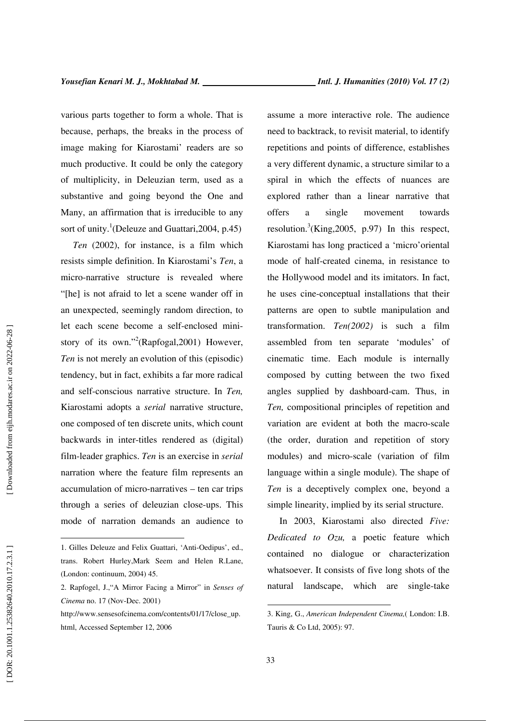various parts together to form a whole. That is because, perhaps, the breaks in the process of image making for Kiarostami' readers are so much productive. It could be only the category of multiplicity, in Deleuzian term, used as a substantive and going beyond the One and Many, an affirmation that is irreducible to any sort of unity.<sup>1</sup>(Deleuze and Guattari, 2004, p.45)

*Ten* (2002), for instance, is a film which resists simple definition. In Kiarostami's *Ten*, a micro-narrative structure is revealed where "[he] is not afraid to let a scene wander off in an unexpected, seemingly random direction, to let each scene become a self-enclosed ministory of its own."<sup>2</sup>(Rapfogal, 2001) However, *Ten* is not merely an evolution of this (episodic) tendency, but in fact, exhibits a far more radical and self-conscious narrative structure. In *Ten,* Kiarostami adopts a *serial* narrative structure, one composed of ten discrete units, which count backwards in inter-titles rendered as (digital) film-leader graphics. *Ten* is an exercise in *serial* narration where the feature film represents an accumulation of micro-narratives – ten car trips through a series of deleuzian close-ups. This mode of narration demands an audience to

assume a more interactive role. The audience need to backtrack, to revisit material, to identify repetitions and points of difference, establishes a very different dynamic, a structure similar to a spiral in which the effects of nuances are explored rather than a linear narrative that offers a single movement towards resolution.<sup>3</sup>(King, 2005, p.97) In this respect, Kiarostami has long practiced a 'micro'oriental mode of half-created cinema, in resistance to the Hollywood model and its imitators. In fact, he uses cine-conceptual installations that their patterns are open to subtle manipulation and transformation. *Ten(2002)* is such a film assembled from ten separate 'modules' of cinematic time. Each module is internally composed by cutting between the two fixed angles supplied by dashboard-cam. Thus, in *Ten,* compositional principles of repetition and variation are evident at both the macro-scale (the order, duration and repetition of story modules) and micro-scale (variation of film language within a single module). The shape of *Ten* is a deceptively complex one, beyond a simple linearity, implied by its serial structure.

In 2003, Kiarostami also directed *Five: Dedicated to Ozu,* a poetic feature which contained no dialogue or characterization whatsoever. It consists of five long shots of the natural landscape, which are single-take

 $\overline{a}$ 

<sup>1.</sup> Gilles Deleuze and Felix Guattari, 'Anti-Oedipus', ed., trans. Robert Hurley,Mark Seem and Helen R.Lane, (London: continuum, 2004) 45.

<sup>2.</sup> Rapfogel, J.,"A Mirror Facing a Mirror" in *Senses of Cinema* no. 17 (Nov-Dec. 2001)

http://www.sensesofcinema.com/contents/01/17/close\_up. html, Accessed September 12, 2006

<sup>3.</sup> King, G., *American Independent Cinema,* ( London: I.B. Tauris & Co Ltd, 2005): 97.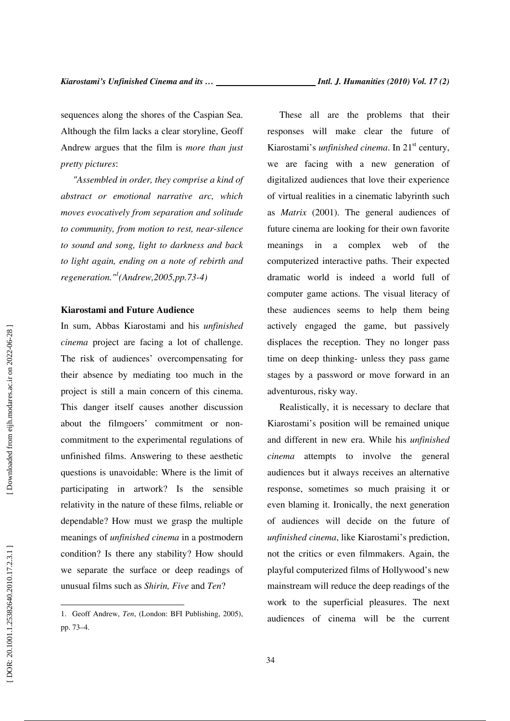sequences along the shores of the Caspian Sea. Although the film lacks a clear storyline, Geoff Andrew argues that the film is *more than just pretty pictures*:

*"Assembled in order, they comprise a kind of abstract or emotional narrative arc, which moves evocatively from separation and solitude to community, from motion to rest, near-silence to sound and song, light to darkness and back to light again, ending on a note of rebirth and regeneration." 1 (Andrew,2005,pp.73-4)* 

#### **Kiarostami and Future Audience**

In sum, Abbas Kiarostami and his *unfinished cinema* project are facing a lot of challenge. The risk of audiences' overcompensating for their absence by mediating too much in the project is still a main concern of this cinema. This danger itself causes another discussion about the filmgoers' commitment or noncommitment to the experimental regulations of unfinished films. Answering to these aesthetic questions is unavoidable: Where is the limit of participating in artwork? Is the sensible relativity in the nature of these films, reliable or dependable? How must we grasp the multiple meanings of *unfinished cinema* in a postmodern condition? Is there any stability? How should we separate the surface or deep readings of unusual films such as *Shirin, Five* and *Ten*?

These all are the problems that their responses will make clear the future of Kiarostami's *unfinished cinema*. In 21<sup>st</sup> century, we are facing with a new generation of digitalized audiences that love their experience of virtual realities in a cinematic labyrinth such as *Matrix* (2001). The general audiences of future cinema are looking for their own favorite meanings in a complex web of the computerized interactive paths. Their expected dramatic world is indeed a world full of computer game actions. The visual literacy of these audiences seems to help them being actively engaged the game, but passively displaces the reception. They no longer pass time on deep thinking- unless they pass game stages by a password or move forward in an adventurous, risky way.

Realistically, it is necessary to declare that Kiarostami's position will be remained unique and different in new era. While his *unfinished cinema* attempts to involve the general audiences but it always receives an alternative response, sometimes so much praising it or even blaming it. Ironically, the next generation of audiences will decide on the future of *unfinished cinema*, like Kiarostami's prediction, not the critics or even filmmakers. Again, the playful computerized films of Hollywood's new mainstream will reduce the deep readings of the work to the superficial pleasures. The next audiences of cinema will be the current

<sup>1.</sup> Geoff Andrew, *Ten*, (London: BFI Publishing, 2005), pp. 73–4.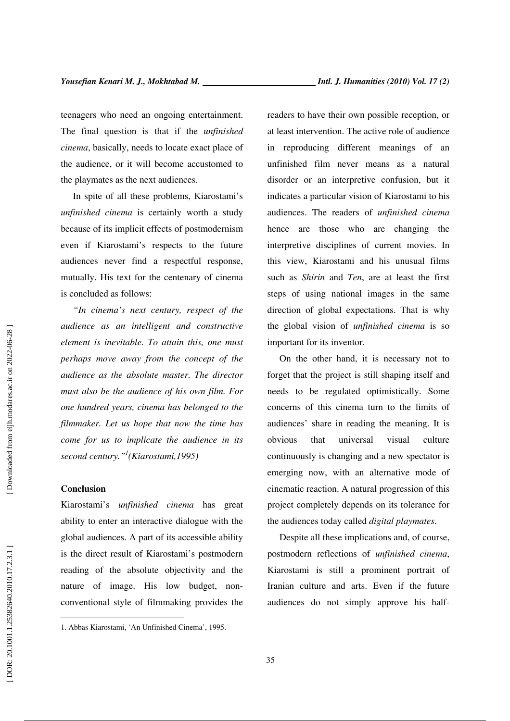teenagers who need an ongoing entertainment. The final question is that if the *unfinished cinema*, basically, needs to locate exact place of the audience, or it will become accustomed to the playmates as the next audiences.

In spite of all these problems, Kiarostami's *unfinished cinema* is certainly worth a study because of its implicit effects of postmodernism even if Kiarostami's respects to the future audiences never find a respectful response, mutually. His text for the centenary of cinema is concluded as follows:

*"In cinema's next century, respect of the audience as an intelligent and constructive element is inevitable. To attain this, one must perhaps move away from the concept of the audience as the absolute master. The director must also be the audience of his own film. For one hundred years, cinema has belonged to the filmmaker. Let us hope that now the time has come for us to implicate the audience in its second century." 1 (Kiarostami,1995)* 

# **Conclusion**

 $\overline{a}$ 

Kiarostami's *unfinished cinema* has great ability to enter an interactive dialogue with the global audiences. A part of its accessible ability is the direct result of Kiarostami's postmodern reading of the absolute objectivity and the nature of image. His low budget, nonconventional style of filmmaking provides the readers to have their own possible reception, or at least intervention. The active role of audience in reproducing different meanings of an unfinished film never means as a natural disorder or an interpretive confusion, but it indicates a particular vision of Kiarostami to his audiences. The readers of *unfinished cinema* hence are those who are changing the interpretive disciplines of current movies. In this view, Kiarostami and his unusual films such as *Shirin* and *Ten*, are at least the first steps of using national images in the same direction of global expectations. That is why the global vision of *unfinished cinema* is so important for its inventor.

On the other hand, it is necessary not to forget that the project is still shaping itself and needs to be regulated optimistically. Some concerns of this cinema turn to the limits of audiences' share in reading the meaning. It is obvious that universal visual culture continuously is changing and a new spectator is emerging now, with an alternative mode of cinematic reaction. A natural progression of this project completely depends on its tolerance for the audiences today called *digital playmates*.

Despite all these implications and, of course, postmodern reflections of *unfinished cinema*, Kiarostami is still a prominent portrait of Iranian culture and arts. Even if the future audiences do not simply approve his half-

Downloaded from eijh.modares.ac.ir on 2022-06-28

<sup>1.</sup> Abbas Kiarostami, 'An Unfinished Cinema', 1995.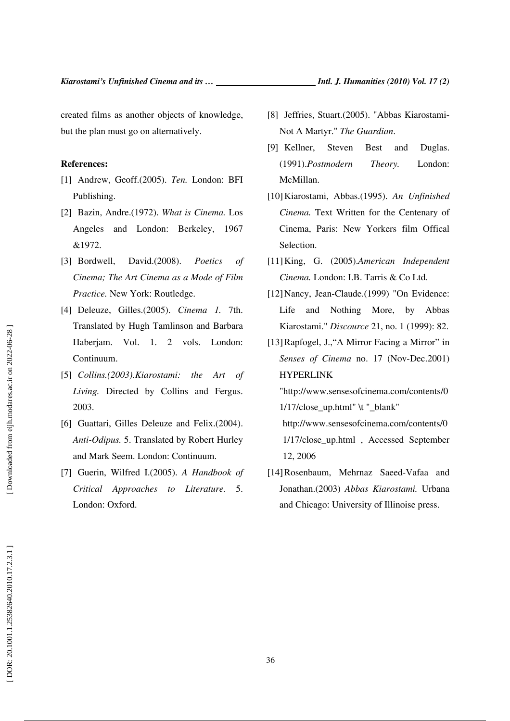created films as another objects of knowledge, but the plan must go on alternatively.

# **References:**

- [1] Andrew, Geoff.(2005). *Ten.* London: BFI Publishing.
- [2] Bazin, Andre.(1972). *What is Cinema.* Los Angeles and London: Berkeley, 1967 &1972.
- [3] Bordwell, David.(2008). *Poetics of Cinema; The Art Cinema as a Mode of Film Practice.* New York: Routledge.
- [4] Deleuze, Gilles.(2005). *Cinema 1.* 7th. Translated by Hugh Tamlinson and Barbara Haberjam. Vol. 1. 2 vols. London: Continuum.
- [5] *Collins.(2003).Kiarostami: the Art of Living.* Directed by Collins and Fergus. 2003.
- [6] Guattari, Gilles Deleuze and Felix.(2004). *Anti-Odipus.* 5. Translated by Robert Hurley and Mark Seem. London: Continuum.
- [7] Guerin, Wilfred I.(2005). *A Handbook of Critical Approaches to Literature.* 5. London: Oxford.
- [8] Jeffries, Stuart.(2005). "Abbas Kiarostami-Not A Martyr." *The Guardian*.
- [9] Kellner, Steven Best and Duglas. (1991).*Postmodern Theory.* London: McMillan.
- [10]Kiarostami, Abbas.(1995). *An Unfinished Cinema.* Text Written for the Centenary of Cinema, Paris: New Yorkers film Offical Selection.
- [11]King, G. (2005).*American Independent Cinema.* London: I.B. Tarris & Co Ltd.
- [12]Nancy, Jean-Claude.(1999) "On Evidence: Life and Nothing More, by Abbas Kiarostami." *Discource* 21, no. 1 (1999): 82.
- [13]Rapfogel, J.,"A Mirror Facing a Mirror" in *Senses of Cinema* no. 17 (Nov-Dec.2001) HYPERLINK

"http://www.sensesofcinema.com/contents/0  $1/17$ /close\_up.html" \t "\_blank"

http://www.sensesofcinema.com/contents/0 1/17/close\_up.html , Accessed September 12, 2006

[14]Rosenbaum, Mehrnaz Saeed-Vafaa and Jonathan.(2003) *Abbas Kiarostami.* Urbana and Chicago: University of Illinoise press.